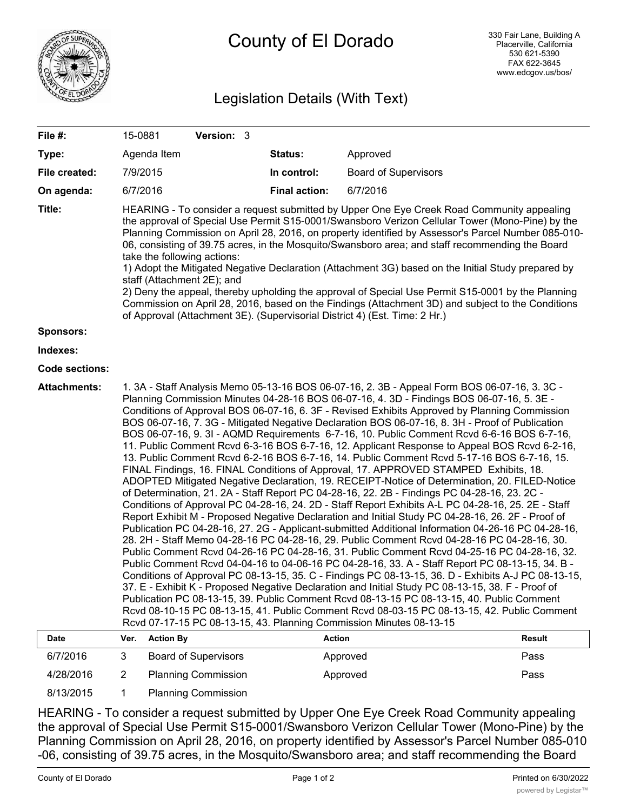

## Legislation Details (With Text)

| File #:               | Version: 3<br>15-0881                                                                                                                                                                                                                                                                                                                                                                                                                                                                                                                                                                                                                                                                                                                                                                                                                                                                                                                                                                                                                                                                                                                                                                                                                                                                                                                                                                                                                                                                                                                                                                                                                                                                                                                                                                                                                                                                                                                                                                                                                                                               |                             |                      |                             |               |
|-----------------------|-------------------------------------------------------------------------------------------------------------------------------------------------------------------------------------------------------------------------------------------------------------------------------------------------------------------------------------------------------------------------------------------------------------------------------------------------------------------------------------------------------------------------------------------------------------------------------------------------------------------------------------------------------------------------------------------------------------------------------------------------------------------------------------------------------------------------------------------------------------------------------------------------------------------------------------------------------------------------------------------------------------------------------------------------------------------------------------------------------------------------------------------------------------------------------------------------------------------------------------------------------------------------------------------------------------------------------------------------------------------------------------------------------------------------------------------------------------------------------------------------------------------------------------------------------------------------------------------------------------------------------------------------------------------------------------------------------------------------------------------------------------------------------------------------------------------------------------------------------------------------------------------------------------------------------------------------------------------------------------------------------------------------------------------------------------------------------------|-----------------------------|----------------------|-----------------------------|---------------|
| Type:                 |                                                                                                                                                                                                                                                                                                                                                                                                                                                                                                                                                                                                                                                                                                                                                                                                                                                                                                                                                                                                                                                                                                                                                                                                                                                                                                                                                                                                                                                                                                                                                                                                                                                                                                                                                                                                                                                                                                                                                                                                                                                                                     | Agenda Item                 | Status:              | Approved                    |               |
| File created:         | 7/9/2015                                                                                                                                                                                                                                                                                                                                                                                                                                                                                                                                                                                                                                                                                                                                                                                                                                                                                                                                                                                                                                                                                                                                                                                                                                                                                                                                                                                                                                                                                                                                                                                                                                                                                                                                                                                                                                                                                                                                                                                                                                                                            |                             | In control:          | <b>Board of Supervisors</b> |               |
| On agenda:            | 6/7/2016                                                                                                                                                                                                                                                                                                                                                                                                                                                                                                                                                                                                                                                                                                                                                                                                                                                                                                                                                                                                                                                                                                                                                                                                                                                                                                                                                                                                                                                                                                                                                                                                                                                                                                                                                                                                                                                                                                                                                                                                                                                                            |                             | <b>Final action:</b> | 6/7/2016                    |               |
| Title:                | HEARING - To consider a request submitted by Upper One Eye Creek Road Community appealing<br>the approval of Special Use Permit S15-0001/Swansboro Verizon Cellular Tower (Mono-Pine) by the<br>Planning Commission on April 28, 2016, on property identified by Assessor's Parcel Number 085-010-<br>06, consisting of 39.75 acres, in the Mosquito/Swansboro area; and staff recommending the Board<br>take the following actions:<br>1) Adopt the Mitigated Negative Declaration (Attachment 3G) based on the Initial Study prepared by<br>staff (Attachment 2E); and<br>2) Deny the appeal, thereby upholding the approval of Special Use Permit S15-0001 by the Planning<br>Commission on April 28, 2016, based on the Findings (Attachment 3D) and subject to the Conditions<br>of Approval (Attachment 3E). (Supervisorial District 4) (Est. Time: 2 Hr.)                                                                                                                                                                                                                                                                                                                                                                                                                                                                                                                                                                                                                                                                                                                                                                                                                                                                                                                                                                                                                                                                                                                                                                                                                    |                             |                      |                             |               |
| <b>Sponsors:</b>      |                                                                                                                                                                                                                                                                                                                                                                                                                                                                                                                                                                                                                                                                                                                                                                                                                                                                                                                                                                                                                                                                                                                                                                                                                                                                                                                                                                                                                                                                                                                                                                                                                                                                                                                                                                                                                                                                                                                                                                                                                                                                                     |                             |                      |                             |               |
| Indexes:              |                                                                                                                                                                                                                                                                                                                                                                                                                                                                                                                                                                                                                                                                                                                                                                                                                                                                                                                                                                                                                                                                                                                                                                                                                                                                                                                                                                                                                                                                                                                                                                                                                                                                                                                                                                                                                                                                                                                                                                                                                                                                                     |                             |                      |                             |               |
| <b>Code sections:</b> |                                                                                                                                                                                                                                                                                                                                                                                                                                                                                                                                                                                                                                                                                                                                                                                                                                                                                                                                                                                                                                                                                                                                                                                                                                                                                                                                                                                                                                                                                                                                                                                                                                                                                                                                                                                                                                                                                                                                                                                                                                                                                     |                             |                      |                             |               |
| <b>Attachments:</b>   | 1. 3A - Staff Analysis Memo 05-13-16 BOS 06-07-16, 2. 3B - Appeal Form BOS 06-07-16, 3. 3C -<br>Planning Commission Minutes 04-28-16 BOS 06-07-16, 4. 3D - Findings BOS 06-07-16, 5. 3E -<br>Conditions of Approval BOS 06-07-16, 6. 3F - Revised Exhibits Approved by Planning Commission<br>BOS 06-07-16, 7. 3G - Mitigated Negative Declaration BOS 06-07-16, 8. 3H - Proof of Publication<br>BOS 06-07-16, 9. 3I - AQMD Requirements 6-7-16, 10. Public Comment Rcvd 6-6-16 BOS 6-7-16,<br>11. Public Comment Rcvd 6-3-16 BOS 6-7-16, 12. Applicant Response to Appeal BOS Rcvd 6-2-16,<br>13. Public Comment Rcvd 6-2-16 BOS 6-7-16, 14. Public Comment Rcvd 5-17-16 BOS 6-7-16, 15.<br>FINAL Findings, 16. FINAL Conditions of Approval, 17. APPROVED STAMPED Exhibits, 18.<br>ADOPTED Mitigated Negative Declaration, 19. RECEIPT-Notice of Determination, 20. FILED-Notice<br>of Determination, 21. 2A - Staff Report PC 04-28-16, 22. 2B - Findings PC 04-28-16, 23. 2C -<br>Conditions of Approval PC 04-28-16, 24. 2D - Staff Report Exhibits A-L PC 04-28-16, 25. 2E - Staff<br>Report Exhibit M - Proposed Negative Declaration and Initial Study PC 04-28-16, 26. 2F - Proof of<br>Publication PC 04-28-16, 27. 2G - Applicant-submitted Additional Information 04-26-16 PC 04-28-16,<br>28. 2H - Staff Memo 04-28-16 PC 04-28-16, 29. Public Comment Rcvd 04-28-16 PC 04-28-16, 30.<br>Public Comment Rcvd 04-26-16 PC 04-28-16, 31. Public Comment Rcvd 04-25-16 PC 04-28-16, 32.<br>Public Comment Rcvd 04-04-16 to 04-06-16 PC 04-28-16, 33. A - Staff Report PC 08-13-15, 34. B -<br>Conditions of Approval PC 08-13-15, 35. C - Findings PC 08-13-15, 36. D - Exhibits A-J PC 08-13-15,<br>37. E - Exhibit K - Proposed Negative Declaration and Initial Study PC 08-13-15, 38. F - Proof of<br>Publication PC 08-13-15, 39. Public Comment Rcvd 08-13-15 PC 08-13-15, 40. Public Comment<br>Rcvd 08-10-15 PC 08-13-15, 41. Public Comment Rcvd 08-03-15 PC 08-13-15, 42. Public Comment<br>Rcvd 07-17-15 PC 08-13-15, 43. Planning Commission Minutes 08-13-15 |                             |                      |                             |               |
| Date                  | Ver.                                                                                                                                                                                                                                                                                                                                                                                                                                                                                                                                                                                                                                                                                                                                                                                                                                                                                                                                                                                                                                                                                                                                                                                                                                                                                                                                                                                                                                                                                                                                                                                                                                                                                                                                                                                                                                                                                                                                                                                                                                                                                | <b>Action By</b>            | <b>Action</b>        |                             | <b>Result</b> |
| 6/7/2016              | 3                                                                                                                                                                                                                                                                                                                                                                                                                                                                                                                                                                                                                                                                                                                                                                                                                                                                                                                                                                                                                                                                                                                                                                                                                                                                                                                                                                                                                                                                                                                                                                                                                                                                                                                                                                                                                                                                                                                                                                                                                                                                                   | <b>Board of Supervisors</b> |                      | Approved                    | Pass          |
| 4/28/2016             | $\overline{2}$                                                                                                                                                                                                                                                                                                                                                                                                                                                                                                                                                                                                                                                                                                                                                                                                                                                                                                                                                                                                                                                                                                                                                                                                                                                                                                                                                                                                                                                                                                                                                                                                                                                                                                                                                                                                                                                                                                                                                                                                                                                                      | <b>Planning Commission</b>  |                      | Approved                    | Pass          |

8/13/2015 1 Planning Commission

HEARING - To consider a request submitted by Upper One Eye Creek Road Community appealing the approval of Special Use Permit S15-0001/Swansboro Verizon Cellular Tower (Mono-Pine) by the Planning Commission on April 28, 2016, on property identified by Assessor's Parcel Number 085-010 -06, consisting of 39.75 acres, in the Mosquito/Swansboro area; and staff recommending the Board